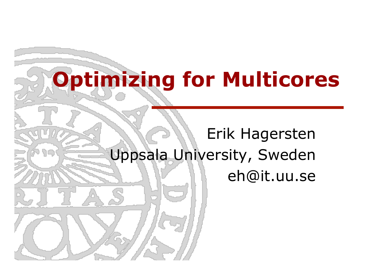## **Optimizing for Multicores**

ף ש

### Erik Hagersten Uppsala University, Sweden eh@it.uu.se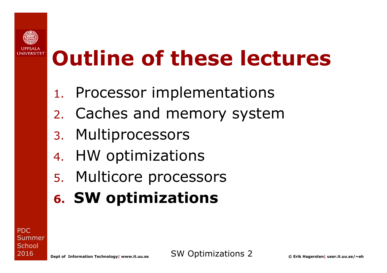

## **Outline of these lectures**

- 1. Processor implementations
- 2. Caches and memory system
- 3. Multiprocessors
- 4. HW optimizations
- 5. Multicore processors
- **6. SW optimizations**

PDC **Summer School** 2016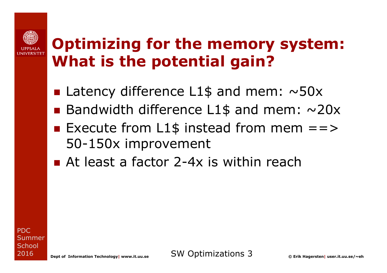#### **Optimizing for the memory system: What is the potential gain?**

- **E** Latency difference L1\$ and mem:  $\sim$ 50x
- **Bandwidth difference L1\$ and mem:**  $\sim$ **20x**
- Execute from L1\$ instead from mem  $==>$ 50-150x improvement
- $\blacksquare$  At least a factor 2-4x is within reach

PDC Summer **School** 2016

**Dept of Information Technology| www.it.uu.se** SW Optimizations 3 **© Erik Hagersten| user.it.uu.se/~eh**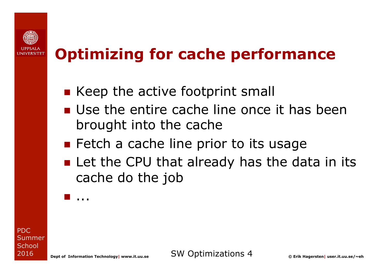

#### **Optimizing for cache performance**

- $\blacksquare$  Keep the active footprint small
- **n** Use the entire cache line once it has been brought into the cache
- **n** Fetch a cache line prior to its usage
- **n** Let the CPU that already has the data in its cache do the job

PDC **Summer School** 2016

n ...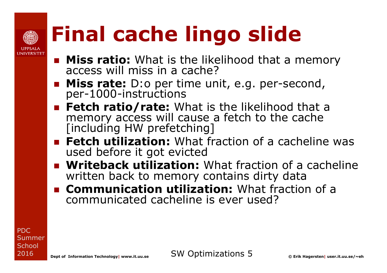

## **Final cache lingo slide**

- **n Miss ratio:** What is the likelihood that a memory access will miss in a cache?
- **n Miss rate:** D:o per time unit, e.g. per-second, per-1000-instructions
- **Fetch ratio/rate:** What is the likelihood that a memory access will cause a fetch to the cache [including HW prefetching]
- **Fetch utilization:** What fraction of a cacheline was used before it got evicted
- **n Writeback utilization:** What fraction of a cacheline written back to memory contains dirty data
- **n Communication utilization:** What fraction of a communicated cacheline is ever used?

PDC Summer **School** 2016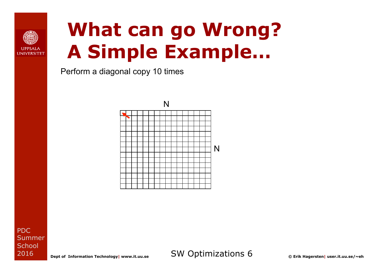

### **What can go Wrong? A Simple Example…**

Perform a diagonal copy 10 times



PDC **Summer School** 2016

**Dept of Information Technology| www.it.uu.se** SW Optimizations 6 **© Erik Hagersten| user.it.uu.se/~eh**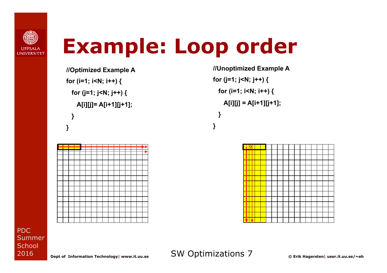

### **Example: Loop order**

**//Optimized Example A for (i=1; i<N; i++) { for (j=1; j<N; j++) { A[i][j]= A[i+1][j+1]; } }** 

**//Unoptimized Example A for (j=1; j<N; j++) { for (i=1; i<N; i++) { A[i][j] = A[i+1][j+1]; } }** 



**Dept of Information Technology| www.it.uu.se** SW Optimizations 7 **© Erik Hagersten| user.it.uu.se/~eh**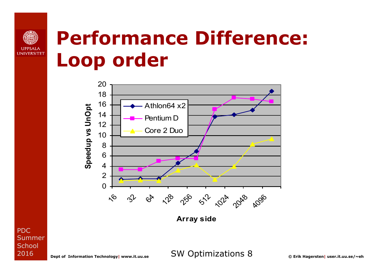

### **Performance Difference: Loop order**



PDC **Summer School** 

**Dept of Information Technology| www.it.uu.se** SW Optimizations 8 **© Erik Hagersten| user.it.uu.se/~eh**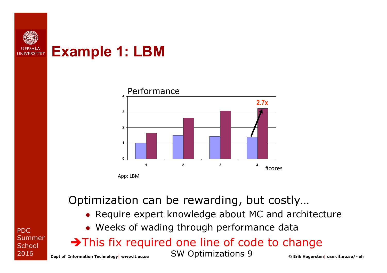

#### **Example 1: LBM**



Optimization can be rewarding, but costly…

- ® Require expert knowledge about MC and architecture
- ® Weeks of wading through performance data

 $\rightarrow$ This fix required one line of code to change

**Dept of Information Technology| www.it.uu.se** SW Optimizations 9 **© Erik Hagersten| user.it.uu.se/~eh**

PDC Summer **School** 2016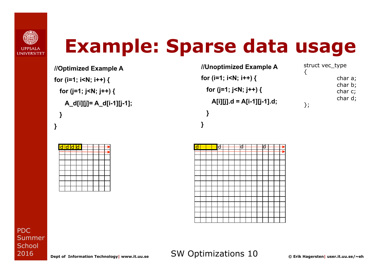

### **Example: Sparse data usage**

**//Optimized Example A for (i=1; i<N; i++) { for (j=1; j<N; j++) { A\_d[i][j]= A\_d[i-1][j-1]; } }** 

|  | <del>d  d  d  d  </del> |  |  |  |
|--|-------------------------|--|--|--|
|  |                         |  |  |  |
|  |                         |  |  |  |
|  |                         |  |  |  |
|  |                         |  |  |  |
|  |                         |  |  |  |
|  |                         |  |  |  |
|  |                         |  |  |  |
|  |                         |  |  |  |

**//Unoptimized Example A for (i=1; i<N; i++) { for (j=1; j<N; j++) { A[i][j].d = A[i-1][j-1].d; } }** 

struct vec\_type { char a; char b; char c; char d; };



PDC Summer **School** 2016

**Dept of Information Technology| www.it.uu.se** SW Optimizations 10 **© Erik Hagersten| user.it.uu.se/~eh**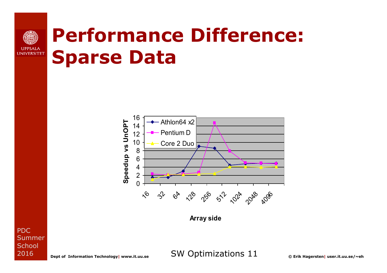#### **UPPSALA UNIVERSITET**

### **Performance Difference: Sparse Data**



PDC **Summer School** 2016

**Dept of Information Technology| www.it.uu.se** SW Optimizations 11 **© Erik Hagersten| user.it.uu.se/~eh**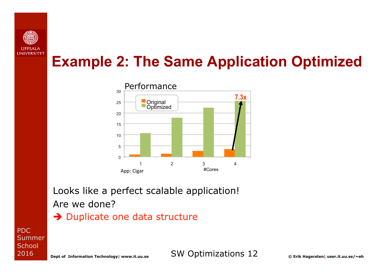

#### **Example 2: The Same Application Optimized**



Looks like a perfect scalable application! Are we done?

 $\rightarrow$  Duplicate one data structure

PDC **Summer School** 2016

**Dept of Information Technology| www.it.uu.se** SW Optimizations 12 **© Erik Hagersten| user.it.uu.se/~eh**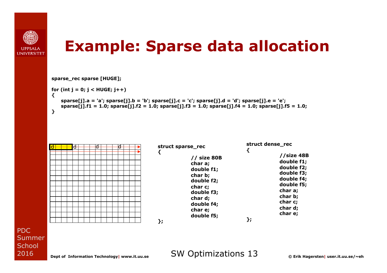

#### **Example: Sparse data allocation**

**sparse\_rec sparse [HUGE];** 

```
for (int j = 0; j < HUGE; j++) 
{
```

```
 sparse[j].a = 'a'; sparse[j].b = 'b'; sparse[j].c = 'c'; sparse[j].d = 'd'; sparse[j].e = 'e'; 
     sparse[j].f1 = 1.0; sparse[j].f2 = 1.0; sparse[j].f3 = 1.0; sparse[j].f4 = 1.0; sparse[j].f5 = 1.0; 
}
```


**Dept of Information Technology| www.it.uu.se** SW Optimizations 13 **© Erik Hagersten| user.it.uu.se/~eh**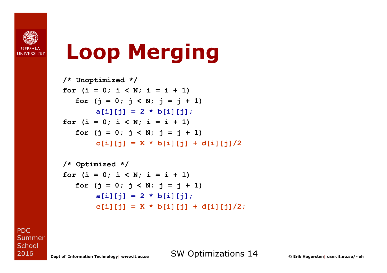

## **Loop Merging**

```
/* Unoptimized */ 
for (i = 0; i < N; i = i + 1)for (j = 0; j < N; j = j + 1)a[i][j] = 2 * b[i][j];for (i = 0; i < N; i = i + 1)for (j = 0; j < N; j = j + 1)c[i][j] = K * b[i][j] + d[i][j]/2
```

```
/* Optimized */ 
for (i = 0; i < N; i = i + 1)for (j = 0; j < N; j = j + 1)a[i][j] = 2 * b[i][j];c[i][j] = K * b[i][j] + d[i][j]/2;
```
PDC **Summer School** 2016

**Dept of Information Technology| www.it.uu.se** SW Optimizations 14 **© Erik Hagersten| user.it.uu.se/~eh**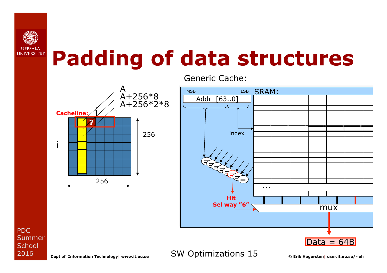

### **Padding of data structures**



Generic Cache:



PDC Summer **School** 2016

**Dept of Information Technology| www.it.uu.se** SW Optimizations 15 **© Erik Hagersten| user.it.uu.se/~eh**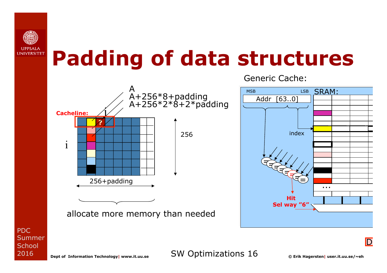

### **Padding of data structures**



Generic Cache:



PDC **Summer School** 2016

**Dept of Information Technology| www.it.uu.se** SW Optimizations 16 **© Erik Hagersten| user.it.uu.se/~eh**

 $\overline{\mathsf{D}}$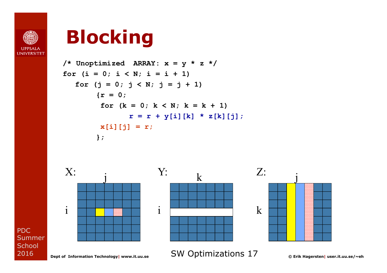

PDC

Summer **School** 2016

### **Blocking**

**/\* Unoptimized ARRAY: x = y \* z \*/ for (i = 0; i < N; i = i + 1) for (j = 0; j < N; j = j + 1) {r = 0; for (k = 0; k < N; k = k + 1) r = r + y[i][k] \* z[k][j]; x[i][j] = r; };** 



**Dept of Information Technology| www.it.uu.se** SW Optimizations 17 **© Erik Hagersten| user.it.uu.se/~eh**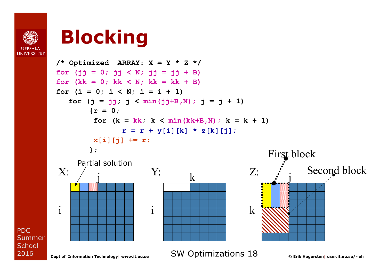

PDC

Summer **School** 2016

### **Blocking**

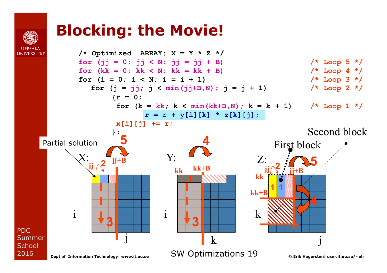### **Blocking: the Movie!**

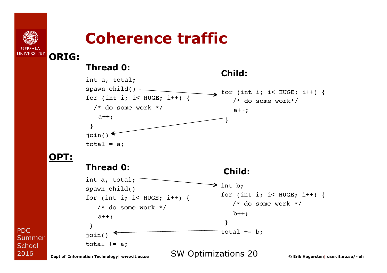

**ORIG:** 

PDC

**Summer School** 2016

#### **Coherence traffic**

#### **Thread 0:**

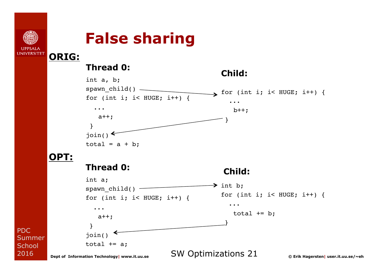

**ORIG:** 

#### **False sharing**

#### **Thread 0:**



PDC Summer **School** 2016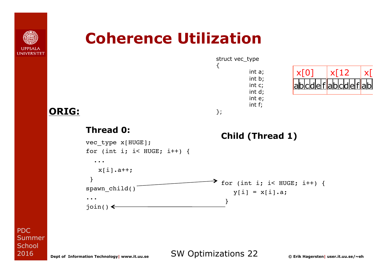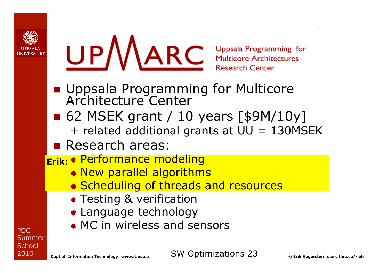



**Research Center** 

- **n** Uppsala Programming for Multicore Architecture Center
- **n** 62 MSEK grant / 10 years [\$9M/10y] + related additional grants at UU = 130MSEK
- **Research areas:**
- ® Performance modeling **Erik:** 
	- ® New parallel algorithms
	- ® Scheduling of threads and resources
	- **\* Testing & verification**
	- ® Language technology
	- ® MC in wireless and sensors

PDC **Summer School** 2016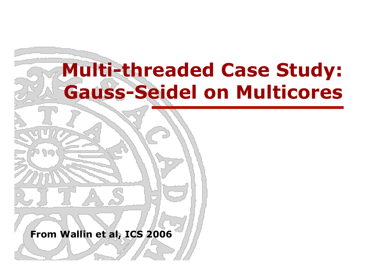### **Multi-threaded Case Study: Gauss-Seidel on Multicores**

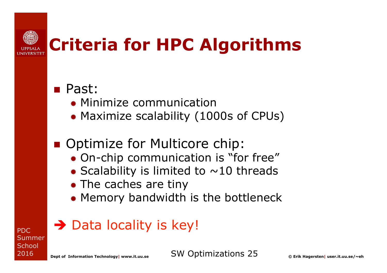

### **Criteria for HPC Algorithms**

#### n Past:

- ® Minimize communication
- ® Maximize scalability (1000s of CPUs)

#### **n** Optimize for Multicore chip:

- ® On-chip communication is "for free"
- $\bullet$  Scalability is limited to  $\sim$ 10 threads
- **\*** The caches are tiny
- ® Memory bandwidth is the bottleneck

#### $\rightarrow$  Data locality is key!

PDC **Summer School** 2016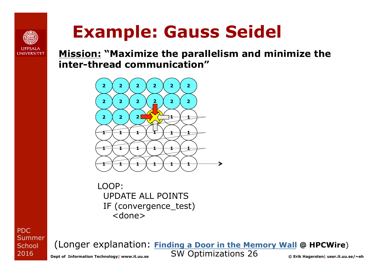

### **Example: Gauss Seidel**

**Mission: "Maximize the parallelism and minimize the inter-thread communication"** 



LOOP: UPDATE ALL POINTS IF (convergence\_test) <done>

PDC Summer **School** 2016

**SW Optimizations 26** © Erik Hagersten| user.it.uu.se/~eh (Longer explanation: **Finding a Door in the Memory Wall @ HPCWire**)

Dept of Information Technology | www.it.uu.se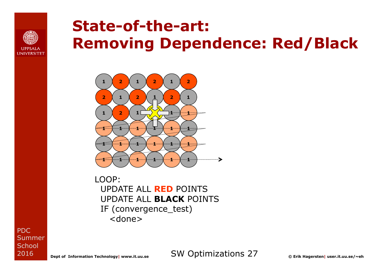

#### **State-of-the-art: Removing Dependence: Red/Black**



LOOP: UPDATE ALL **RED** POINTS UPDATE ALL **BLACK** POINTS IF (convergence\_test) <done>

PDC **Summer School** 2016

**Dept of Information Technology| www.it.uu.se** SW Optimizations 27 **© Erik Hagersten| user.it.uu.se/~eh**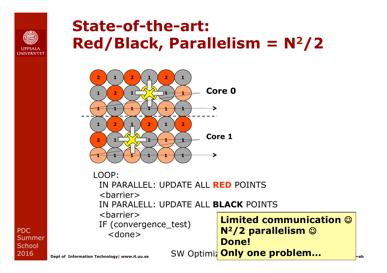

#### **State-of-the-art: Red/Black, Parallelism = N2/2**



**Dept of Information Technology** | www.it.uu.se SW Optimiz <mark>Only one problem…</mark> <mark>eeh</mark> LOOP: IN PARALLEL: UPDATE ALL **RED** POINTS <barrier> IN PARALELL: UPDATE ALL **BLACK** POINTS <barrier> IF (convergence\_test) <done> **Limited communication**  $\odot$ **N<sup>2</sup>/2 parallelism**  $\circledcirc$ **Done!**

PDC Summer **School** 2016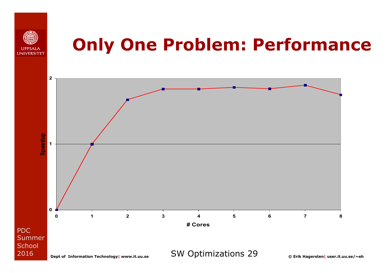

### **Only One Problem: Performance**

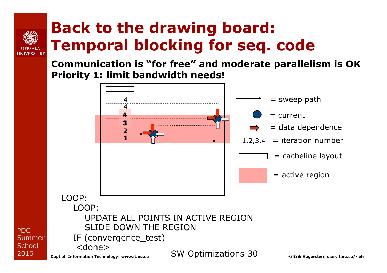### **Back to the drawing board: Temporal blocking for seq. code**

**Communication is "for free" and moderate parallelism is OK Priority 1: limit bandwidth needs!** 



PDC

**I INIVERSITET** 

2016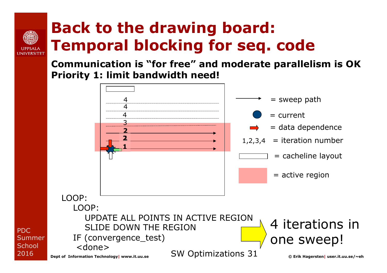### **Back to the drawing board: Temporal blocking for seq. code**

**I INIIVERSITET** 

**Communication is "for free" and moderate parallelism is OK Priority 1: limit bandwidth need!** 

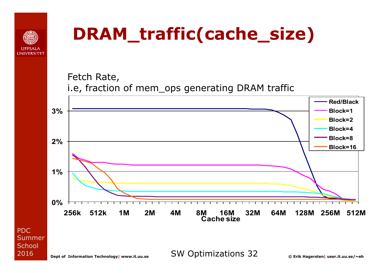

### **DRAM\_traffic(cache\_size)**

Fetch Rate, i.e, fraction of mem\_ops generating DRAM traffic



PDC Summer **School** 2016

**Dept of Information Technology| www.it.uu.se** SW Optimizations 32 **© Erik Hagersten| user.it.uu.se/~eh**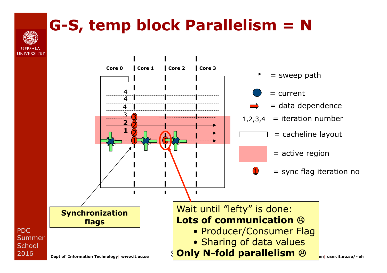#### **G-S, temp block Parallelism = N**

PDC

**School** 2016

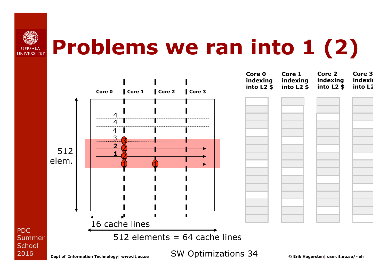

## **Problems we ran into 1 (2)**

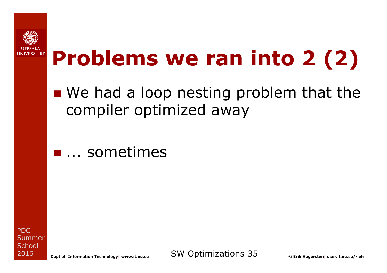

## **Problems we ran into 2 (2)**

- $\blacksquare$  We had a loop nesting problem that the compiler optimized away
- **n** ... sometimes

PDC **Summer School** 2016

**Dept of Information Technology| www.it.uu.se** SW Optimizations 35 **© Erik Hagersten| user.it.uu.se/~eh**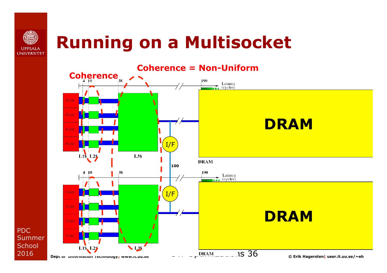

### **Running on a Multisocket**



PDC Summer **School** 2016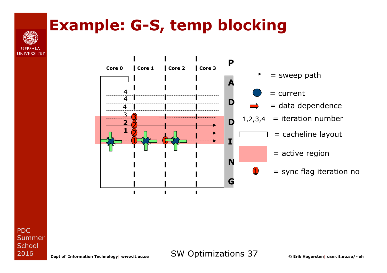# **I INIVERSITET**

#### **Example: G-S, temp blocking**



PDC Summer **School** 2016

**Dept of Information Technology| www.it.uu.se** SW Optimizations 37 **© Erik Hagersten| user.it.uu.se/~eh**